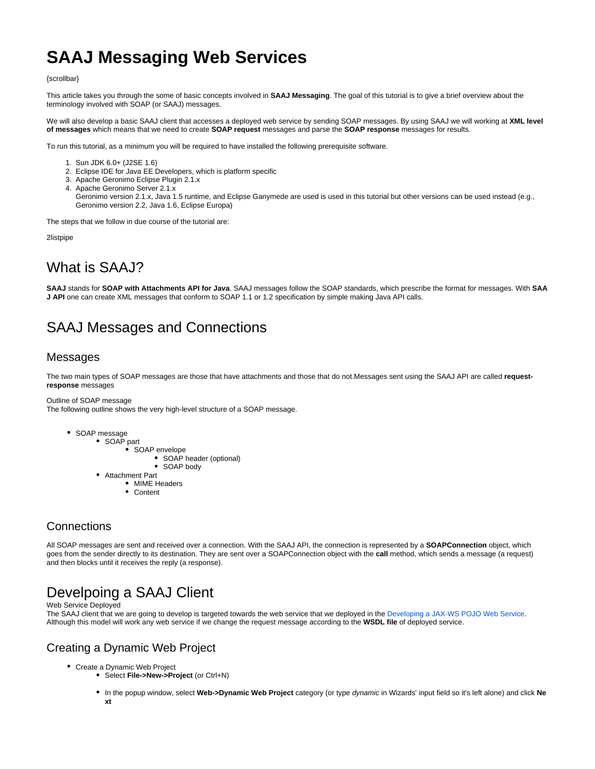# **SAAJ Messaging Web Services**

{scrollbar}

This article takes you through the some of basic concepts involved in **SAAJ Messaging**. The goal of this tutorial is to give a brief overview about the terminology involved with SOAP (or SAAJ) messages.

We will also develop a basic SAAJ client that accesses a deployed web service by sending SOAP messages. By using SAAJ we will working at **XML level of messages** which means that we need to create **SOAP request** messages and parse the **SOAP response** messages for results.

To run this tutorial, as a minimum you will be required to have installed the following prerequisite software.

- 1. Sun JDK 6.0+ (J2SE 1.6)
- 2. Eclipse IDE for Java EE Developers, which is platform specific
- 3. Apache Geronimo Eclipse Plugin 2.1.x
- 4. Apache Geronimo Server 2.1.x
- Geronimo version 2.1.x, Java 1.5 runtime, and Eclipse Ganymede are used is used in this tutorial but other versions can be used instead (e.g., Geronimo version 2.2, Java 1.6, Eclipse Europa)

The steps that we follow in due course of the tutorial are:

2listpipe

## What is SAAJ?

**SAAJ** stands for **SOAP with Attachments API for Java**. SAAJ messages follow the SOAP standards, which prescribe the format for messages. With **SAA J API** one can create XML messages that conform to SOAP 1.1 or 1.2 specification by simple making Java API calls.

## SAAJ Messages and Connections

#### Messages

The two main types of SOAP messages are those that have attachments and those that do not.Messages sent using the SAAJ API are called **requestresponse** messages

Outline of SOAP message

The following outline shows the very high-level structure of a SOAP message.

- SOAP message
	- SOAP part
		- SOAP envelope
			- SOAP header (optional)
			- SOAP body
	- Attachment Part
		- MIME Headers
		- Content

### **Connections**

All SOAP messages are sent and received over a connection. With the SAAJ API, the connection is represented by a **SOAPConnection** object, which goes from the sender directly to its destination. They are sent over a SOAPConnection object with the **call** method, which sends a message (a request) and then blocks until it receives the reply (a response).

## Develpoing a SAAJ Client

#### Web Service Deployed

The SAAJ client that we are going to develop is targeted towards the web service that we deployed in the [Developing a JAX-WS POJO Web Service.](https://cwiki.apache.org/confluence/display/GMOxDOC22/Developing+a+JAX-WS+POJO+Web+Service) Although this model will work any web service if we change the request message according to the **WSDL file** of deployed service.

### Creating a Dynamic Web Project

- Create a Dynamic Web Project
	- Select **File->New->Project** (or Ctrl+N)
	- In the popup window, select **Web->Dynamic Web Project** category (or type dynamic in Wizards' input field so it's left alone) and click **Ne xt**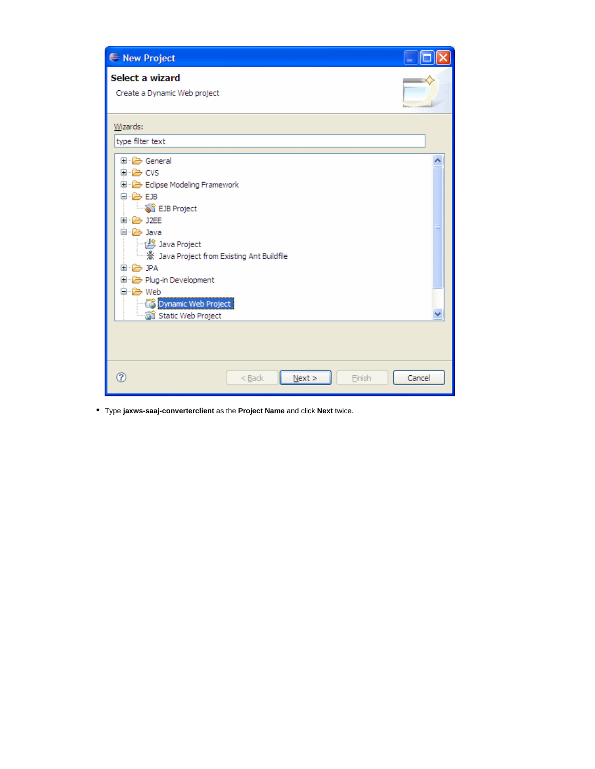| New Project                                                                                                                                                                                                                                                                           |  |
|---------------------------------------------------------------------------------------------------------------------------------------------------------------------------------------------------------------------------------------------------------------------------------------|--|
| Select a wizard<br>Create a Dynamic Web project                                                                                                                                                                                                                                       |  |
| Wizards:<br>type filter text                                                                                                                                                                                                                                                          |  |
| 国· ② General<br>自一色 CVS<br>Edipse Modeling Framework<br>Ė~@ EJB<br><b>B</b> EJB Project<br>国·--启 J2EE<br>⊟…@ Java<br>Java Project<br>涨 Java Project from Existing Ant Buildfile<br>EF E JPA<br>Plug-in Development<br>⊟ <del>©</del> Web<br>Dynamic Web Project<br>Static Web Project |  |
| ඹ<br>$<$ Back<br>Cancel<br>Next<br>Finish                                                                                                                                                                                                                                             |  |

Type **jaxws-saaj-converterclient** as the **Project Name** and click **Next** twice.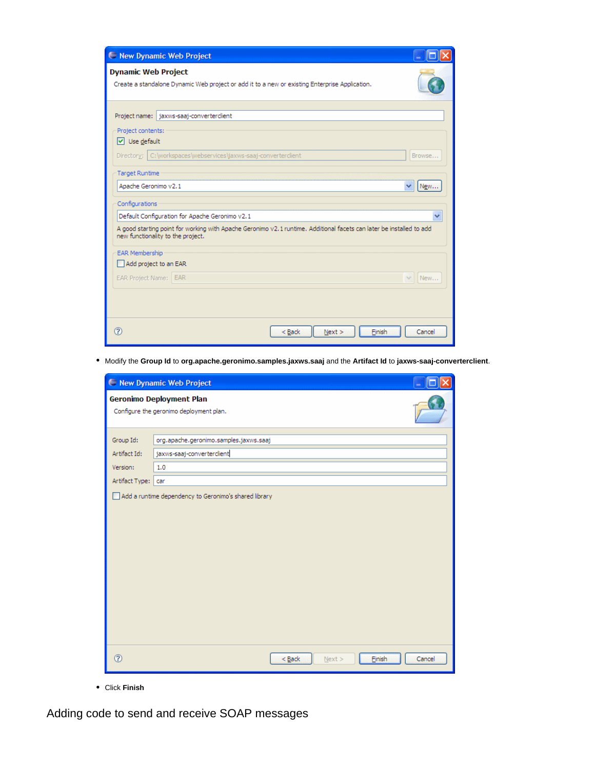| New Dynamic Web Project                                                                                                                                   |  |  |  |  |  |
|-----------------------------------------------------------------------------------------------------------------------------------------------------------|--|--|--|--|--|
| <b>Dynamic Web Project</b>                                                                                                                                |  |  |  |  |  |
| Create a standalone Dynamic Web project or add it to a new or existing Enterprise Application.                                                            |  |  |  |  |  |
|                                                                                                                                                           |  |  |  |  |  |
| Project name: jaxws-saaj-converterclient                                                                                                                  |  |  |  |  |  |
| Project contents:                                                                                                                                         |  |  |  |  |  |
| $\vee$ Use default                                                                                                                                        |  |  |  |  |  |
| Directory:   C:\workspaces\webservices\jaxws-saaj-converterclient<br>Browse                                                                               |  |  |  |  |  |
| <b>Target Runtime</b>                                                                                                                                     |  |  |  |  |  |
| Apache Geronimo v2.1<br>New                                                                                                                               |  |  |  |  |  |
| Configurations                                                                                                                                            |  |  |  |  |  |
| Default Configuration for Apache Geronimo v2.1                                                                                                            |  |  |  |  |  |
| A good starting point for working with Apache Geronimo v2.1 runtime. Additional facets can later be installed to add<br>new functionality to the project. |  |  |  |  |  |
| <b>EAR Membership</b>                                                                                                                                     |  |  |  |  |  |
| Add project to an EAR                                                                                                                                     |  |  |  |  |  |
| EAR Project Name: EAR<br>New                                                                                                                              |  |  |  |  |  |
|                                                                                                                                                           |  |  |  |  |  |
|                                                                                                                                                           |  |  |  |  |  |
| 7<br>Next<br>Finish<br>Cancel<br>$<$ Back                                                                                                                 |  |  |  |  |  |

Modify the **Group Id** to **org.apache.geronimo.samples.jaxws.saaj** and the **Artifact Id** to **jaxws-saaj-converterclient**.

|                                                                     | New Dynamic Web Project                 |  |  |  |  |  |
|---------------------------------------------------------------------|-----------------------------------------|--|--|--|--|--|
| Geronimo Deployment Plan<br>Configure the geronimo deployment plan. |                                         |  |  |  |  |  |
| Group Id:                                                           | org.apache.geronimo.samples.jaxws.saaj  |  |  |  |  |  |
| Artifact Id:                                                        | jaxws-saaj-converterclient              |  |  |  |  |  |
| Version:                                                            | 1.0                                     |  |  |  |  |  |
| Artifact Type:                                                      | car                                     |  |  |  |  |  |
|                                                                     |                                         |  |  |  |  |  |
| $^{\circ}$                                                          | $N$ ext ><br>Finish<br>Cancel<br>$Back$ |  |  |  |  |  |

Click **Finish**

Adding code to send and receive SOAP messages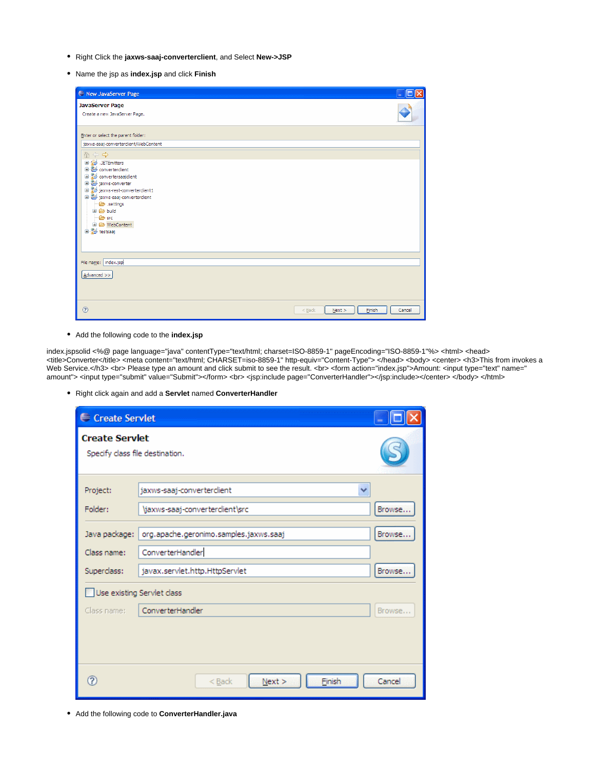- Right Click the **jaxws-saaj-converterclient**, and Select **New->JSP**
- Name the jsp as **index.jsp** and click **Finish**

| New JavaServer Page                                                                                                                                                                                                                                                             | - 10   |
|---------------------------------------------------------------------------------------------------------------------------------------------------------------------------------------------------------------------------------------------------------------------------------|--------|
| <b>JavaServer Page</b><br>Create a new JavaServer Page.                                                                                                                                                                                                                         |        |
| Enter or select the parent folder:                                                                                                                                                                                                                                              |        |
| jaxws-saaj-converterclient/WebContent                                                                                                                                                                                                                                           |        |
| 合中心<br><b>JETEmitters</b><br>converterclient<br>convertersaajdient<br>jaxws-converter<br>jaxws-rest-converterclient1<br>jaxws-saaj-converterclient<br>settings<br><b>E</b> -@ build<br>$\Rightarrow$ src<br>WebContent<br>e a testsaaj<br>File name:   index.jsp<br>Advanced >> |        |
| $\circledR$<br>$<$ Back<br>Einish<br>Next                                                                                                                                                                                                                                       | Cancel |

Add the following code to the **index.jsp**

index.jspsolid <%@ page language="java" contentType="text/html; charset=ISO-8859-1" pageEncoding="ISO-8859-1"%> <html> <head> <title>Converter</title> <meta content="text/html; CHARSET=iso-8859-1" http-equiv="Content-Type"> </head> <body> <center> <h3>This from invokes a Web Service.</h3> <br> Please type an amount and click submit to see the result. <br><form action="index.jsp">Amount: <input type="text" name=" amount"> <input type="submit" value="Submit"></form> <br> <jsp:include page="ConverterHandler"></jsp:include></center> </body> </html>

Right click again and add a **Servlet** named **ConverterHandler**

| <b>∈</b> Create Servlet                                  |                                                  |        |  |  |
|----------------------------------------------------------|--------------------------------------------------|--------|--|--|
| <b>Create Servlet</b><br>Specify class file destination. |                                                  |        |  |  |
| Project:                                                 | jaxws-saaj-converterclient                       |        |  |  |
| Folder:                                                  | \jaxws-saaj-converterclient\src                  | Browse |  |  |
| Java package:                                            | Browse<br>org.apache.geronimo.samples.jaxws.saaj |        |  |  |
| Class name:                                              | ConverterHandler                                 |        |  |  |
| Superclass:                                              | javax.servlet.http.HttpServlet                   | Browse |  |  |
| Use existing Servlet class                               |                                                  |        |  |  |
| Class name:                                              | ConverterHandler                                 | Browse |  |  |
|                                                          |                                                  |        |  |  |
| ನಿ                                                       | Next<br>Finish<br>$<$ Back                       | Cancel |  |  |

Add the following code to **ConverterHandler.java**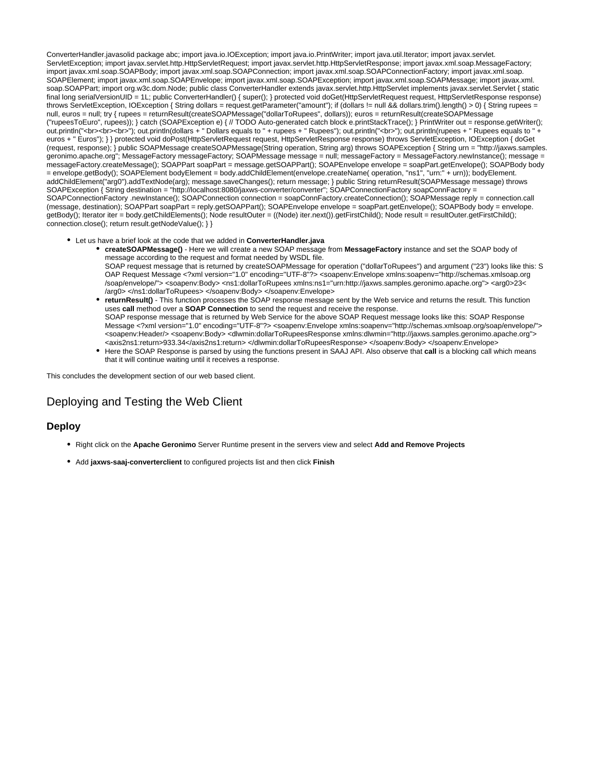ConverterHandler.javasolid package abc; import java.io.IOException; import java.io.PrintWriter; import java.util.Iterator; import javax.servlet. ServletException; import javax.servlet.http.HttpServletRequest; import javax.servlet.http.HttpServletResponse; import javax.xml.soap.MessageFactory; import javax.xml.soap.SOAPBody; import javax.xml.soap.SOAPConnection; import javax.xml.soap.SOAPConnectionFactory; import javax.xml.soap. SOAPElement; import javax.xml.soap.SOAPEnvelope; import javax.xml.soap.SOAPException; import javax.xml.soap.SOAPMessage; import javax.xml. soap.SOAPPart; import org.w3c.dom.Node; public class ConverterHandler extends javax.servlet.http.HttpServlet implements javax.servlet.Servlet { static final long serialVersionUID = 1L; public ConverterHandler() { super(); } protected void doGet(HttpServletRequest request, HttpServletResponse response) throws ServletException, IOException { String dollars = request.getParameter("amount"); if (dollars != null && dollars.trim().length() > 0) { String rupees = null, euros = null; try { rupees = returnResult(createSOAPMessage("dollarToRupees", dollars)); euros = returnResult(createSOAPMessage ("rupeesToEuro", rupees)); } catch (SOAPException e) { // TODO Auto-generated catch block e.printStackTrace(); } PrintWriter out = response.getWriter(); out.println("<br>>br><br>>br>"); out.println(dollars + " Dollars equals to " + rupees + " Rupees"); out.println("<br>"); out.println(rupees + " Rupees equals to " euros + " Euros"); } } protected void doPost(HttpServletRequest request, HttpServletResponse response) throws ServletException, IOException { doGet (request, response); } public SOAPMessage createSOAPMessage(String operation, String arg) throws SOAPException { String urn = "http://jaxws.samples. geronimo.apache.org"; MessageFactory messageFactory; SOAPMessage message = null; messageFactory = MessageFactory.newInstance(); message = messageFactory.createMessage(); SOAPPart soapPart = message.getSOAPPart(); SOAPEnvelope envelope = soapPart.getEnvelope(); SOAPBody body = envelope.getBody(); SOAPElement bodyElement = body.addChildElement(envelope.createName( operation, "ns1", "urn:" + urn)); bodyElement. addChildElement("arg0").addTextNode(arg); message.saveChanges(); return message; } public String returnResult(SOAPMessage message) throws SOAPException { String destination = "http://localhost:8080/jaxws-converter/converter"; SOAPConnectionFactory soapConnFactory = SOAPConnectionFactory .newInstance(); SOAPConnection connection = soapConnFactory.createConnection(); SOAPMessage reply = connection.call (message, destination); SOAPPart soapPart = reply.getSOAPPart(); SOAPEnvelope envelope = soapPart.getEnvelope(); SOAPBody body = envelope. getBody(); Iterator iter = body.getChildElements(); Node resultOuter = ((Node) iter.next()).getFirstChild(); Node result = resultOuter.getFirstChild(); connection.close(); return result.getNodeValue(); } }

- Let us have a brief look at the code that we added in **ConverterHandler.java**
	- **createSOAPMessage()** Here we will create a new SOAP message from **MessageFactory** instance and set the SOAP body of message according to the request and format needed by WSDL file. SOAP request message that is returned by createSOAPMessage for operation ("dollarToRupees") and argument ("23") looks like this: S OAP Request Message <?xml version="1.0" encoding="UTF-8"?> <soapenv:Envelope xmlns:soapenv="http://schemas.xmlsoap.org /soap/envelope/"> <soapenv:Body> <ns1:dollarToRupees xmlns:ns1="urn:http://jaxws.samples.geronimo.apache.org"> <arg0>23<
	- /arg0> </ns1:dollarToRupees> </soapenv:Body> </soapenv:Envelope> **returnResult()** - This function processes the SOAP response message sent by the Web service and returns the result. This function uses **call** method over a **SOAP Connection** to send the request and receive the response. SOAP response message that is returned by Web Service for the above SOAP Request message looks like this: SOAP Response Message <?xml version="1.0" encoding="UTF-8"?> <soapenv:Envelope xmlns:soapenv="http://schemas.xmlsoap.org/soap/envelope/"> <soapenv:Header/> <soapenv:Body> <dlwmin:dollarToRupeesResponse xmlns:dlwmin="http://jaxws.samples.geronimo.apache.org"> <axis2ns1:return>933.34</axis2ns1:return> </dlwmin:dollarToRupeesResponse> </soapenv:Body> </soapenv:Envelope>
	- Here the SOAP Response is parsed by using the functions present in SAAJ API. Also observe that **call** is a blocking call which means that it will continue waiting until it receives a response.

This concludes the development section of our web based client.

### Deploying and Testing the Web Client

#### **Deploy**

- Right click on the **Apache Geronimo** Server Runtime present in the servers view and select **Add and Remove Projects**
- Add **jaxws-saaj-converterclient** to configured projects list and then click **Finish**